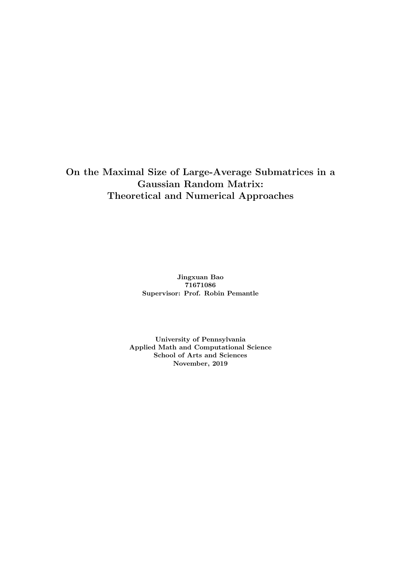On the Maximal Size of Large-Average Submatrices in a Gaussian Random Matrix: Theoretical and Numerical Approaches

> Jingxuan Bao 71671086 Supervisor: Prof. Robin Pemantle

University of Pennsylvania Applied Math and Computational Science School of Arts and Sciences November, 2019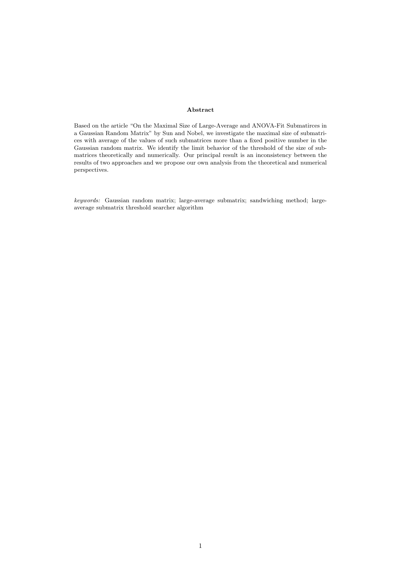#### Abstract

Based on the article "On the Maximal Size of Large-Average and ANOVA-Fit Submatirces in a Gaussian Random Matrix" by Sun and Nobel, we investigate the maximal size of submatrices with average of the values of such submatrices more than a fixed positive number in the Gaussian random matrix. We identify the limit behavior of the threshold of the size of submatrices theoretically and numerically. Our principal result is an inconsistency between the results of two approaches and we propose our own analysis from the theoretical and numerical perspectives.

keywords: Gaussian random matrix; large-average submatrix; sandwiching method; largeaverage submatrix threshold searcher algorithm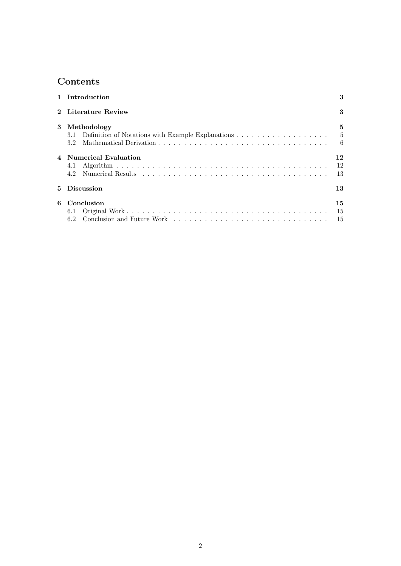# Contents

|   | 1 Introduction         |      |  |  |  |  |  |
|---|------------------------|------|--|--|--|--|--|
|   | 2 Literature Review    |      |  |  |  |  |  |
|   | 3 Methodology          | 5    |  |  |  |  |  |
|   |                        | $-5$ |  |  |  |  |  |
|   | 3.2 <sub>1</sub>       | -6   |  |  |  |  |  |
|   | 4 Numerical Evaluation | 12   |  |  |  |  |  |
|   | 4.1                    | 12   |  |  |  |  |  |
|   |                        | 13   |  |  |  |  |  |
| 5 | <b>Discussion</b>      |      |  |  |  |  |  |
| 6 | Conclusion             | 15   |  |  |  |  |  |
|   | 6.1                    | 15   |  |  |  |  |  |
|   |                        | 15   |  |  |  |  |  |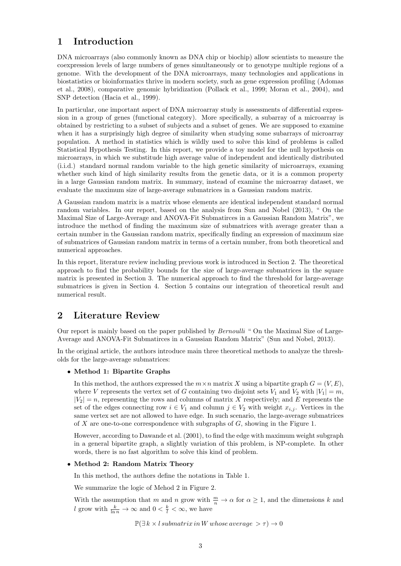## 1 Introduction

DNA microarrays (also commonly known as DNA chip or biochip) allow scientists to measure the coexpression levels of large numbers of genes simultaneously or to genotype multiple regions of a genome. With the development of the DNA microarrays, many technologies and applications in biostatistics or bioinformatics thrive in modern society, such as gene expression profiling (Adomas et al., 2008), comparative genomic hybridization (Pollack et al., 1999; Moran et al., 2004), and SNP detection (Hacia et al., 1999).

In particular, one important aspect of DNA microarray study is assessments of differential expression in a group of genes (functional category). More specifically, a subarray of a microarray is obtained by restricting to a subset of subjects and a subset of genes. We are supposed to examine when it has a surprisingly high degree of similarity when studying some subarrays of microarray population. A method in statistics which is wildly used to solve this kind of problems is called Statistical Hypothesis Testing. In this report, we provide a toy model for the null hypothesis on microarrays, in which we substitude high average value of independent and identically distributed (i.i.d.) standard normal random variable to the high genetic similarity of microarrays, examing whether such kind of high similarity results from the genetic data, or it is a common property in a large Gaussian random matrix. In summary, instead of examine the microarray dataset, we evaluate the maximum size of large-average submatrices in a Gaussian random matrix.

A Gaussian random matrix is a matrix whose elements are identical independent standard normal random variables. In our report, based on the analysis from Sun and Nobel (2013), " On the Maximal Size of Large-Average and ANOVA-Fit Submatirces in a Gaussian Random Matrix", we introduce the method of finding the maximum size of submatrices with average greater than a certain number in the Gaussian random matrix, specifically finding an expression of maximum size of submatrices of Gaussian random matrix in terms of a certain number, from both theoretical and numerical approaches.

In this report, literature review including previous work is introduced in Section 2. The theoretical approach to find the probability bounds for the size of large-average submatrices in the square matrix is presented in Section 3. The numerical approach to find the threshold for large-average submatrices is given in Section 4. Section 5 contains our integration of theoretical result and numerical result.

## 2 Literature Review

Our report is mainly based on the paper published by Bernoulli " On the Maximal Size of Large-Average and ANOVA-Fit Submatirces in a Gaussian Random Matrix" (Sun and Nobel, 2013).

In the original article, the authors introduce main three theoretical methods to analyze the thresholds for the large-average submatrices:

### • Method 1: Bipartite Graphs

In this method, the authors expressed the  $m \times n$  matrix X using a bipartite graph  $G = (V, E)$ , where V represents the vertex set of G containing two disjoint sets  $V_1$  and  $V_2$  with  $|V_1| = m$ ,  $|V_2| = n$ , representing the rows and columns of matrix X respectively; and E represents the set of the edges connecting row  $i \in V_1$  and column  $j \in V_2$  with weight  $x_{i,j}$ . Vertices in the same vertex set are not allowed to have edge. In such scenario, the large-average submatrices of X are one-to-one correspondence with subgraphs of  $G$ , showing in the Figure 1.

However, according to Dawande et al. (2001), to find the edge with maximum weight subgraph in a general bipartite graph, a slightly variation of this problem, is NP-complete. In other words, there is no fast algorithm to solve this kind of problem.

### • Method 2: Random Matrix Theory

In this method, the authors define the notations in Table 1.

We summarize the logic of Mehod 2 in Figure 2.

With the assumption that m and n grow with  $\frac{m}{n} \to \alpha$  for  $\alpha \geq 1$ , and the dimensions k and l grow with  $\frac{k}{\ln n} \to \infty$  and  $0 < \frac{k}{l} < \infty$ , we have

 $\mathbb{P}(\exists k \times l \text{ submatrix in } W \text{ whose average } > \tau) \rightarrow 0$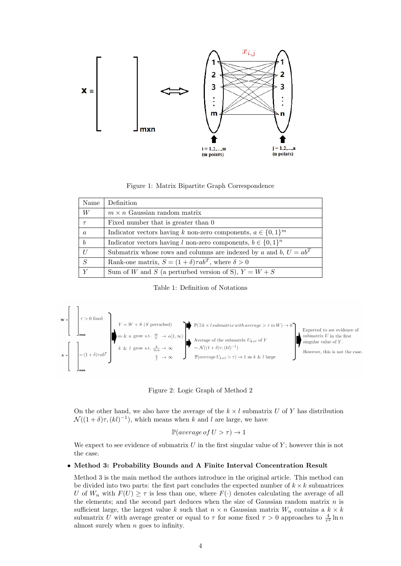

Figure 1: Matrix Bipartite Graph Correspondence

| Name             | Definition                                                          |
|------------------|---------------------------------------------------------------------|
| W                | $m \times n$ Gaussian random matrix                                 |
| $\tau$           | Fixed number that is greater than 0                                 |
| $\boldsymbol{a}$ | Indicator vectors having k non-zero components, $a \in \{0,1\}^m$   |
| $\boldsymbol{b}$ | Indicator vectors having l non-zero components, $b \in \{0,1\}^n$   |
| U                | Submatrix whose rows and columns are indexed by a and b, $U = ab^T$ |
| S                | Rank-one matrix, $S = (1 + \delta)\tau ab^T$ , where $\delta > 0$   |
| $\overline{Y}$   | Sum of W and S (a perturbed version of S), $Y = W + S$              |

Table 1: Definition of Notations



Figure 2: Logic Graph of Method 2

On the other hand, we also have the average of the  $k \times l$  submatrix U of Y has distribution  $\mathcal{N}((1+\delta)\tau, (kl)^{-1}),$  which means when k and l are large, we have

$$
\mathbb{P}(average \text{ of } U > \tau) \to 1
$$

We expect to see evidence of submatrix  $U$  in the first singular value of  $Y$ ; however this is not the case.

#### • Method 3: Probability Bounds and A Finite Interval Concentration Result

Method 3 is the main method the authors introduce in the original article. This method can be divided into two parts: the first part concludes the expected number of  $k \times k$  submatrices U of  $W_n$  with  $F(U) \geq \tau$  is less than one, where  $F(\cdot)$  denotes calculating the average of all the elements; and the second part deduces when the size of Gaussian random matrix  $n$  is sufficient large, the largest value k such that  $n \times n$  Gaussian matrix  $W_n$  contains a  $k \times k$ submatrix U with average greater or equal to  $\tau$  for some fixed  $\tau > 0$  approaches to  $\frac{4}{\tau^2} \ln n$ almost surely when n goes to infinity.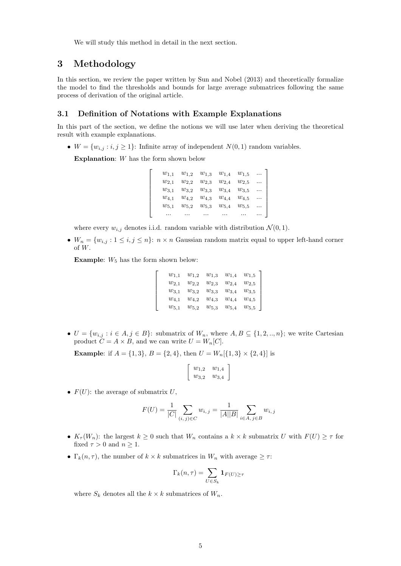We will study this method in detail in the next section.

## 3 Methodology

In this section, we review the paper written by Sun and Nobel (2013) and theoretically formalize the model to find the thresholds and bounds for large average submatrices following the same process of derivation of the original article.

## 3.1 Definition of Notations with Example Explanations

In this part of the section, we define the notions we will use later when deriving the theoretical result with example explanations.

•  $W = \{w_{i,j} : i, j \geq 1\}$ : Infinite array of independent  $N(0, 1)$  random variables.

Explanation: W has the form shown below

 $\lceil$  $\overline{\phantom{a}}$  $\overline{1}$  $\overline{1}$  $\overline{1}$  $\overline{1}$  $\overline{1}$  $\overline{1}$ 

| $w_{1,1}$ |                     |                               | $w_{1,2}$ $w_{1,3}$ $w_{1,4}$ $w_{1,5}$ |           |          |
|-----------|---------------------|-------------------------------|-----------------------------------------|-----------|----------|
| $w_{2,1}$ | $w_{2,2}$           | $w_{2,3}$                     | $w_{2,4}$                               | $w_{2,5}$ | $\cdots$ |
| $w_{3,1}$ |                     | $w_{3,2}$ $w_{3,3}$ $w_{3,4}$ |                                         | $w_{3,5}$ | $\cdots$ |
| $w_{4,1}$ | $w_{4,2}$ $w_{4,3}$ |                               | $w_{4,4}$                               | $w_{4,5}$ | $\cdots$ |
| $w_{5,1}$ | $w_{5,2}$           | $w_{5,3}$                     | $w_{5,4}$                               | $w_{5,5}$ | $\cdots$ |
|           |                     |                               |                                         |           |          |

where every  $w_{i,j}$  denotes i.i.d. random variable with distribution  $\mathcal{N}(0, 1)$ .

•  $W_n = \{w_{i,j} : 1 \leq i,j \leq n\}$ :  $n \times n$  Gaussian random matrix equal to upper left-hand corner of W.

**Example:**  $W_5$  has the form shown below:

| $w_{1,1}$ | $w_{1,2}$ | $w_{1,3}$ | $w_{1,4}$ | $w_{1,5}$ |
|-----------|-----------|-----------|-----------|-----------|
| $w_{2,1}$ | $w_{2,2}$ | $w_{2,3}$ | $w_{2,4}$ | $w_{2,5}$ |
| $w_{3,1}$ | $w_{3,2}$ | $w_{3,3}$ | $w_{3,4}$ | $w_{3,5}$ |
| $w_{4,1}$ | $w_{4,2}$ | $w_{4,3}$ | $w_{4,4}$ | $w_{4,5}$ |
| $w_{5,1}$ | $w_{5,2}$ | $w_{5,3}$ | $w_{5,4}$ | $w_{5,5}$ |

•  $U = \{w_{i,j} : i \in A, j \in B\}$ : submatrix of  $W_n$ , where  $A, B \subseteq \{1, 2, ..., n\}$ ; we write Cartesian product  $C = A \times B$ , and we can write  $U = W_n[C]$ .

**Example:** if  $A = \{1, 3\}, B = \{2, 4\}, \text{ then } U = W_n[\{1, 3\} \times \{2, 4\}]$  is

$$
\left[\begin{array}{cc}w_{1,2}&w_{1,4}\\w_{3,2}&w_{3,4}\end{array}\right]
$$

•  $F(U)$ : the average of submatrix U,

$$
F(U) = \frac{1}{|C|} \sum_{(i,j) \in C} w_{i,j} = \frac{1}{|A||B|} \sum_{i \in A, j \in B} w_{i,j}
$$

- $K_{\tau}(W_n)$ : the largest  $k \geq 0$  such that  $W_n$  contains a  $k \times k$  submatrix U with  $F(U) \geq \tau$  for fixed  $\tau > 0$  and  $n \geq 1$ .
- $\Gamma_k(n, \tau)$ , the number of  $k \times k$  submatrices in  $W_n$  with average  $\geq \tau$ :

$$
\Gamma_k(n,\tau) = \sum_{U \in S_k} \mathbf{1}_{F(U) \ge \tau}
$$

where  $S_k$  denotes all the  $k \times k$  submatrices of  $W_n$ .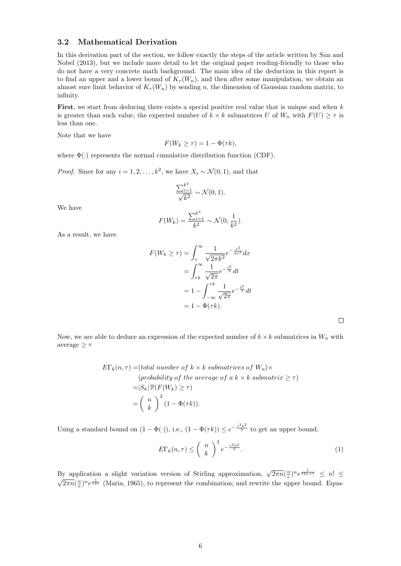## 3.2 Mathematical Derivation

In this derivation part of the section, we follow exactly the steps of the article written by Sun and Nobel (2013), but we include more detail to let the original paper reading-friendly to those who do not have a very concrete math background. The main idea of the deduction in this report is to find an upper and a lower bound of  $K_{\tau}(W_n)$ , and then after some manipulation, we obtain an almost sure limit behavior of  $K_{\tau}(W_n)$  by sending n, the dimension of Gaussian random matrix, to infinity.

First, we start from deducing there exists a special positive real value that is unique and when k is greater than such value, the expected number of  $k \times k$  submatrices U of  $W_n$  with  $F(U) \geq \tau$  is less than one.

Note that we have

$$
F(W_k \ge \tau) = 1 - \Phi(\tau k),
$$

where  $\Phi(\cdot)$  represents the normal cumulative distribution function (CDF).

*Proof.* Since for any  $i = 1, 2, ..., k^2$ , we have  $X_i \sim \mathcal{N}(0, 1)$ , and that

$$
\frac{\sum_{i=1}^{k^2}}{\sqrt{k^2}} \sim \mathcal{N}(0, 1).
$$

We have

$$
F(W_k) = \frac{\sum_{i=1}^{k^2}}{k^2} \sim \mathcal{N}(0, \frac{1}{k^2}).
$$

As a result, we have

$$
F(W_k \ge \tau) = \int_{\tau}^{\infty} \frac{1}{\sqrt{2\pi k^2}} e^{-\frac{x^2}{2\sigma^2}} dx
$$
  
= 
$$
\int_{\tau k}^{\infty} \frac{1}{\sqrt{2\pi}} e^{-\frac{t^2}{2}} dt
$$
  
= 
$$
1 - \int_{-\infty}^{\tau k} \frac{1}{\sqrt{2\pi}} e^{-\frac{t^2}{2}} dt
$$
  
= 
$$
1 - \Phi(\tau k).
$$

 $\Box$ 

Now, we are able to deduce an expression of the expected number of  $k \times k$  submatrices in  $W_n$  with average  $>$   $\tau$ 

$$
E\Gamma_k(n,\tau) = (total\ number\ of\ k \times k\ submatrices\ of\ W_n) \times
$$
  
\n
$$
(probability\ of\ the\ average\ of\ a\ k \times k\ submatrix \geq \tau)
$$
  
\n
$$
= |S_k| \mathbb{P}(F(W_k) \geq \tau)
$$
  
\n
$$
= \left(\begin{array}{c} n \\ k \end{array}\right)^2 (1 - \Phi(\tau k)).
$$

Using a standard bound on  $(1 - \Phi(\cdot))$ , i.e.,  $(1 - \Phi(\tau k)) \leq e^{-\frac{\tau^2 k^2}{2}}$  to get an upper bound,

$$
E\Gamma_k(n,\tau) \leq \left(\begin{array}{c} n \\ k \end{array}\right)^2 e^{-\frac{\tau^2 k^2}{2}}.
$$
\n(1)

By application a slight variation version of Stirling approximation,  $\sqrt{2\pi n}(\frac{n}{e})^n e^{\frac{1}{12n+1}} \leq n! \leq$  $\sqrt{2\pi n}(\frac{n}{e})^n e^{\frac{1}{12n}}$  (Maria, 1965), to represent the combination; and rewrite the upper bound. Equa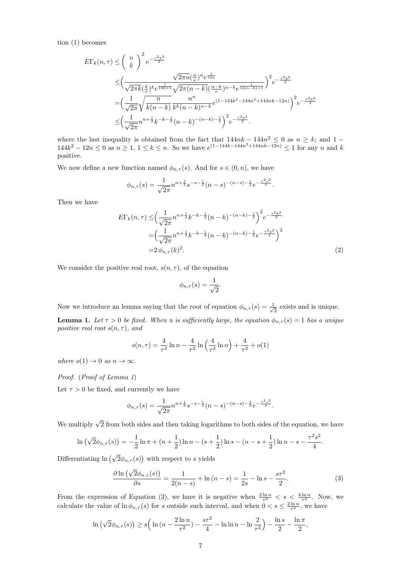tion (1) becomes

$$
E\Gamma_{k}(n,\tau) \leq \left(\frac{n}{k}\right)^{2} e^{-\frac{\tau^{2}k^{2}}{2}}
$$
  
\n
$$
\leq \left(\frac{\sqrt{2\pi k}(\frac{k}{e})^{k}e^{\frac{1}{12k+1}}\sqrt{2\pi(n-k)}(\frac{n-k}{e})^{n-k}e^{\frac{1}{12(n-k)+1}}}{\sqrt{2\pi(n-k)}(\frac{n-k}{e})^{n-k}e^{\frac{1}{12(n-k)+1}}}\right)^{2} e^{-\frac{\tau^{2}k^{2}}{2}}
$$
  
\n
$$
= \left(\frac{1}{\sqrt{2\pi}}\sqrt{\frac{n}{k(n-k)}}\frac{n^{n}}{k^{k}(n-k)^{n-k}}e^{(1-144k^{2}-144n^{2}+144nk-12n)}\right)^{2} e^{-\frac{\tau^{2}k^{2}}{2}}
$$
  
\n
$$
\leq \left(\frac{1}{\sqrt{2\pi}}n^{n+\frac{1}{2}}k^{-k-\frac{1}{2}}(n-k)^{-(n-k)-\frac{1}{2}}\right)^{2} e^{-\frac{\tau^{2}k^{2}}{2}}.
$$

where the last inequality is obtained from the fact that  $144nk - 144n^2 \leq 0$  as  $n \geq k$ ; and 1 –  $144k^2 - 12n \leq 0$  as  $n \geq 1, 1 \leq k \leq n$ . So we have  $e^{(1-144k-144n^2+144nk-12n)} \leq 1$  for any n and k positive.

We now define a new function named  $\phi_{n,\tau}(s)$ . And for  $s \in (0,n)$ , we have

$$
\phi_{n,\tau}(s) = \frac{1}{\sqrt{2\pi}} n^{n+\frac{1}{2}} s^{-s-\frac{1}{2}} (n-s)^{-(n-s)-\frac{1}{2}} e^{-\frac{\tau^2 s^2}{4}}.
$$

Then we have

$$
E\Gamma_k(n,\tau) \leq \left(\frac{1}{\sqrt{2\pi}}n^{n+\frac{1}{2}}k^{-k-\frac{1}{2}}(n-k)^{-(n-k)-\frac{1}{2}}\right)^2 e^{-\frac{\tau^2 k^2}{2}}
$$

$$
= \left(\frac{1}{\sqrt{2\pi}}n^{n+\frac{1}{2}}k^{-k-\frac{1}{2}}(n-k)^{-(n-k)-\frac{1}{2}}e^{-\frac{\tau^2 k^2}{4}}\right)^2
$$

$$
= 2\phi_{n,\tau}(k)^2.
$$
 (2)

We consider the positive real root,  $s(n, \tau)$ , of the equation

$$
\phi_{n,\tau}(s) = \frac{1}{\sqrt{2}}.
$$

Now we introduce an lemma saying that the root of equation  $\phi_{n,\tau}(s) = \frac{1}{\sqrt{s}}$  $\frac{1}{2}$  exists and is unique.

**Lemma 1.** Let  $\tau > 0$  be fixed. When n is sufficiently large, the equation  $\phi_{n,\tau}(s) = 1$  has a unique positive real root  $s(n, \tau)$ , and

$$
s(n,\tau) = \frac{4}{\tau^2} \ln n - \frac{4}{\tau^2} \ln \left( \frac{4}{\tau^2} \ln n \right) + \frac{4}{\tau^2} + o(1)
$$

where  $o(1) \rightarrow 0$  as  $n \rightarrow \infty$ .

#### Proof. (Proof of Lemma 1)

Let  $\tau > 0$  be fixed, and currently we have

$$
\phi_{n,\tau}(s) = \frac{1}{\sqrt{2\pi}} n^{n+\frac{1}{2}} s^{-s-\frac{1}{2}} (n-s)^{-(n-s)-\frac{1}{2}} e^{-\frac{\tau^2 s^2}{4}}.
$$

We multiply  $\sqrt{2}$  from both sides and then taking logarithms to both sides of the equation, we have

$$
\ln\left(\sqrt{2}\phi_{n,\tau}(s)\right) = -\frac{1}{2}\ln\pi + (n+\frac{1}{2})\ln n - (s+\frac{1}{2})\ln s - (n-s+\frac{1}{2})\ln n - s - \frac{\tau^2 s^2}{4}.
$$

Differentiating  $\ln(\sqrt{2}\phi_{n,\tau}(s))$  with respect to s yields

$$
\frac{\partial \ln\left(\sqrt{2}\phi_{n,\tau}(s)\right)}{\partial s} = \frac{1}{2(n-s)} + \ln(n-s) = \frac{1}{2s} - \ln s - \frac{s\tau^2}{2}.\tag{3}
$$

From the expression of Equation (3), we have it is negative when  $\frac{2 \ln n}{\tau^2} < s < \frac{4 \ln n}{\tau^2}$ . Now, we calculate the value of  $\ln \phi_{n,\tau}(s)$  for s outside such interval, and when  $0 < s \leq \frac{2 \ln n}{\tau^2}$ , we have

$$
\ln(\sqrt{2}\phi_{n,\tau}(s)) \ge s \left( \ln(n - \frac{2\ln n}{\tau^2}) - \frac{s\tau^2}{4} - \ln \ln n - \ln \frac{2}{\tau^2} \right) - \frac{\ln s}{2} - \frac{\ln \pi}{2},
$$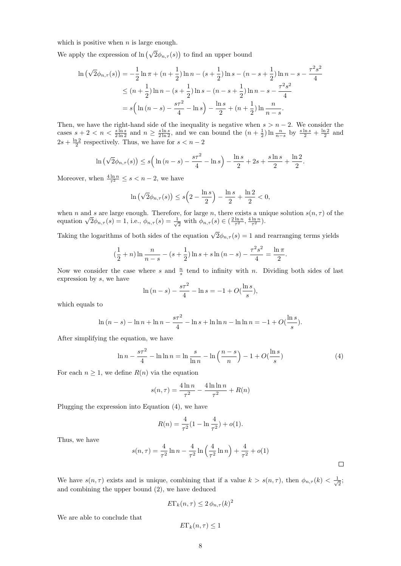which is positive when  $n$  is large enough.

We apply the expression of  $\ln(\sqrt{2}\phi_{n,\tau}(s))$  to find an upper bound

$$
\ln\left(\sqrt{2}\phi_{n,\tau}(s)\right) = -\frac{1}{2}\ln\pi + (n+\frac{1}{2})\ln n - (s+\frac{1}{2})\ln s - (n-s+\frac{1}{2})\ln n - s - \frac{\tau^2 s^2}{4}
$$
  
\n
$$
\leq (n+\frac{1}{2})\ln n - (s+\frac{1}{2})\ln s - (n-s+\frac{1}{2})\ln n - s - \frac{\tau^2 s^2}{4}
$$
  
\n
$$
= s\left(\ln\left(n-s\right) - \frac{s\tau^2}{4} - \ln s\right) - \frac{\ln s}{2} + (n+\frac{1}{2})\ln\frac{n}{n-s}.
$$

Then, we have the right-hand side of the inequality is negative when  $s > n - 2$ . We consider the cases  $s + 2 < n < \frac{\sin s}{2 \ln 2}$  and  $n \ge \frac{\sin s}{2 \ln 2}$ , and we can bound the  $(n + \frac{1}{2}) \ln \frac{n}{n-s}$  by  $\frac{s \ln s}{2} + \frac{\ln 2}{2}$  and  $2s + \frac{\ln 2}{2}$  respectively. Thus, we have for  $s < n - 2$ 

$$
\ln(\sqrt{2}\phi_{n,\tau}(s)) \le s\left(\ln(n-s) - \frac{s\tau^2}{4} - \ln s\right) - \frac{\ln s}{2} + 2s + \frac{s\ln s}{2} + \frac{\ln 2}{2}.
$$

Moreover, when  $\frac{4 \ln n}{\tau^2} \leq s < n-2$ , we have

$$
\ln(\sqrt{2}\phi_{n,\tau}(s)) \le s\left(2 - \frac{\ln s}{2}\right) - \frac{\ln s}{2} + \frac{\ln 2}{2} < 0,
$$

when n and s are large enough. Therefore, for large n, there exists a unique solution  $s(n, \tau)$  of the when *n* and *s* are large enough. Therefore<br>equation  $\sqrt{2}\phi_{n,\tau}(s) = 1$ , i.e.,  $\phi_{n,\tau}(s) = \frac{1}{\sqrt{2}}$  $\frac{1}{2}$  with  $\phi_{n,\tau}(s) \in \left(\frac{2\ln n}{\tau^2}, \frac{4\ln n}{\tau^2}\right)$ .

Taking the logarithms of both sides of the equation  $\sqrt{2}\phi_{n,\tau}(s) = 1$  and rearranging terms yields

$$
\left(\frac{1}{2} + n\right) \ln \frac{n}{n-s} - \left(s + \frac{1}{2}\right) \ln s + s \ln \left(n - s\right) - \frac{\tau^2 s^2}{4} = \frac{\ln \pi}{2}.
$$

Now we consider the case where s and  $\frac{n}{s}$  tend to infinity with n. Dividing both sides of last expression by s, we have

$$
\ln (n - s) - \frac{s\tau^2}{4} - \ln s = -1 + O(\frac{\ln s}{s}),
$$

which equals to

$$
\ln (n - s) - \ln n + \ln n - \frac{s\tau^2}{4} - \ln s + \ln \ln n - \ln \ln n = -1 + O(\frac{\ln s}{s}).
$$

After simplifying the equation, we have

$$
\ln n - \frac{s\tau^2}{4} - \ln \ln n = \ln \frac{s}{\ln n} - \ln \left( \frac{n - s}{n} \right) - 1 + O(\frac{\ln s}{s})
$$
 (4)

For each  $n \geq 1$ , we define  $R(n)$  via the equation

$$
s(n,\tau) = \frac{4 \ln n}{\tau^2} - \frac{4 \ln \ln n}{\tau^2} + R(n)
$$

Plugging the expression into Equation (4), we have

$$
R(n) = \frac{4}{\tau^2} (1 - \ln \frac{4}{\tau^2}) + o(1).
$$

Thus, we have

$$
s(n,\tau) = \frac{4}{\tau^2} \ln n - \frac{4}{\tau^2} \ln \left( \frac{4}{\tau^2} \ln n \right) + \frac{4}{\tau^2} + o(1)
$$

We have  $s(n, \tau)$  exists and is unique, combining that if a value  $k > s(n, \tau)$ , then  $\phi_{n,\tau}(k) < \frac{1}{\sqrt{k}}$  $\overline{2}$ and combining the upper bound (2), we have deduced

$$
E\Gamma_k(n,\tau) \le 2\,\phi_{n,\tau}(k)^2
$$

We are able to conclude that

$$
E\Gamma_k(n,\tau)\leq 1
$$

 $\Box$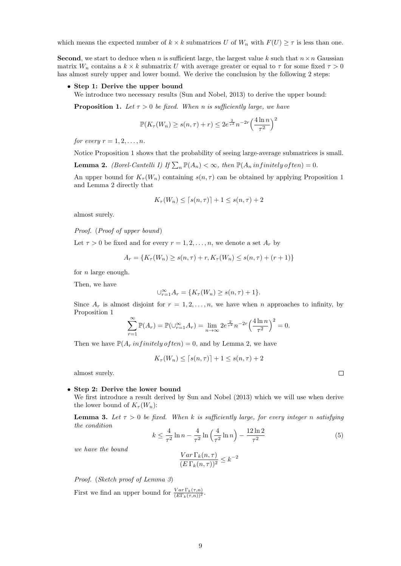which means the expected number of  $k \times k$  submatrices U of  $W_n$  with  $F(U) \geq \tau$  is less than one.

**Second**, we start to deduce when n is sufficient large, the largest value k such that  $n \times n$  Gaussian matrix  $W_n$  contains a  $k \times k$  submatrix U with average greater or equal to  $\tau$  for some fixed  $\tau > 0$ has almost surely upper and lower bound. We derive the conclusion by the following 2 steps:

#### • Step 1: Derive the upper bound

We introduce two necessary results (Sun and Nobel, 2013) to derive the upper bound:

**Proposition 1.** Let  $\tau > 0$  be fixed. When n is sufficiently large, we have

$$
\mathbb{P}(K_{\tau}(W_n) \ge s(n,\tau) + r) \le 2e^{\frac{2}{\tau^2}} n^{-2r} \left(\frac{4\ln n}{\tau^2}\right)^2
$$

for every  $r = 1, 2, \ldots, n$ .

Notice Proposition 1 shows that the probability of seeing large-average submatrices is small.

**Lemma 2.** (Borel-Cantelli I) If  $\sum_{n} \mathbb{P}(A_n) < \infty$ , then  $\mathbb{P}(A_n$  infinitely often) = 0.

An upper bound for  $K_{\tau}(W_n)$  containing  $s(n, \tau)$  can be obtained by applying Proposition 1 and Lemma 2 directly that

$$
K_{\tau}(W_n) \le \lceil s(n,\tau) \rceil + 1 \le s(n,\tau) + 2
$$

almost surely.

Proof. (Proof of upper bound)

Let  $\tau > 0$  be fixed and for every  $r = 1, 2, ..., n$ , we denote a set  $A_r$  by

$$
A_r = \{ K_\tau(W_n) \ge s(n, \tau) + r, K_\tau(W_n) \le s(n, \tau) + (r + 1) \}
$$

for  $n$  large enough.

Then, we have

$$
\bigcup_{r=1}^{\infty} A_r = \{ K_\tau(W_n) \ge s(n, \tau) + 1 \}.
$$

Since  $A_r$  is almost disjoint for  $r = 1, 2, \ldots, n$ , we have when n approaches to infinity, by Proposition 1

$$
\sum_{r=1}^{\infty} \mathbb{P}(A_r) = \mathbb{P}(\cup_{r=1}^{\infty} A_r) = \lim_{n \to \infty} 2e^{\frac{2}{r^2}} n^{-2r} \left(\frac{4 \ln n}{\tau^2}\right)^2 = 0.
$$

Then we have  $\mathbb{P}(A_r \text{ in finitely of } ten) = 0$ , and by Lemma 2, we have

$$
K_{\tau}(W_n) \le \lceil s(n,\tau) \rceil + 1 \le s(n,\tau) + 2
$$

almost surely.

#### • Step 2: Derive the lower bound

We first introduce a result derived by Sun and Nobel (2013) which we will use when derive the lower bound of  $K_\tau(W_n)$ :

**Lemma 3.** Let  $\tau > 0$  be fixed. When k is sufficiently large, for every integer n satisfying the condition

$$
k \le \frac{4}{\tau^2} \ln n - \frac{4}{\tau^2} \ln \left( \frac{4}{\tau^2} \ln n \right) - \frac{12 \ln 2}{\tau^2}
$$
 (5)

we have the bound

$$
\frac{Var\Gamma_k(n,\tau)}{(E\Gamma_k(n,\tau))^2} \le k^{-2}
$$

Proof. (Sketch proof of Lemma 3)

First we find an upper bound for  $\frac{Var \Gamma_k(\tau,n)}{(E \Gamma_k(\tau,n))^2}$ .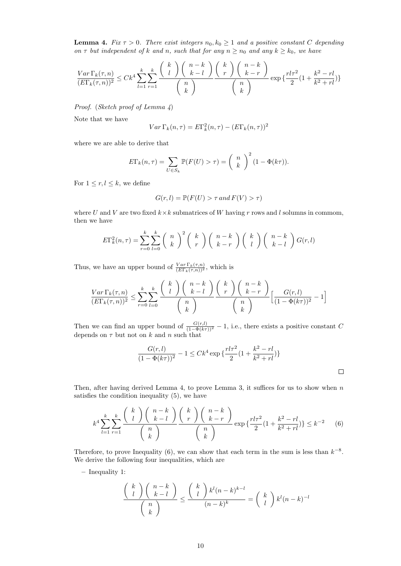**Lemma 4.** Fix  $\tau > 0$ . There exist integers  $n_0, k_0 \geq 1$  and a positive constant C depending on  $\tau$  but independent of k and n, such that for any  $n \geq n_0$  and any  $k \geq k_0$ , we have

$$
\frac{Var\Gamma_k(\tau,n)}{(E\Gamma_k(\tau,n))^2} \le Ck^4 \sum_{l=1}^k \sum_{r=1}^k \frac{\binom{k}{l}\binom{n-k}{k-l}}{\binom{n}{k}} \frac{\binom{k}{r}\binom{n-k}{k-r}}{\binom{n}{k}} \exp\left\{\frac{rl\tau^2}{2}(1+\frac{k^2-rl}{k^2+rl})\right\}
$$

Proof. (Sketch proof of Lemma 4)

Note that we have

$$
Var\Gamma_k(n,\tau) = E\Gamma_k^2(n,\tau) - (E\Gamma_k(n,\tau))^2
$$

where we are able to derive that

$$
E\Gamma_k(n,\tau) = \sum_{U \in S_k} \mathbb{P}(F(U) > \tau) = {n \choose k}^2 (1 - \Phi(k\tau)).
$$

For  $1 \leq r, l \leq k$ , we define

$$
G(r, l) = \mathbb{P}(F(U) > \tau \text{ and } F(V) > \tau)
$$

where U and V are two fixed  $k \times k$  submatrices of W having r rows and l solumns in commom, then we have

$$
E\Gamma_k^2(n,\tau) = \sum_{r=0}^k \sum_{l=0}^k {n \choose k}^2 {k \choose r} {n-k \choose k-r} {k \choose l} {n-k \choose k-l} G(r,l)
$$

Thus, we have an upper bound of  $\frac{Var \Gamma_k(\tau,n)}{(E \Gamma_k(\tau,n))^2}$ , which is

$$
\frac{Var\Gamma_k(\tau,n)}{(E\Gamma_k(\tau,n))^2} \le \sum_{r=0}^k \sum_{l=0}^k \frac{\binom{k}{l}\binom{n-k}{k-l}}{\binom{n}{k}} \frac{\binom{k}{r}\binom{n-k}{k-r}}{\binom{n}{k}} \left[\frac{G(r,l)}{(1-\Phi(k\tau))^2} - 1\right]
$$

Then we can find an upper bound of  $\frac{G(r,l)}{(1-\Phi(k\tau))^2} - 1$ , i.e., there exists a positive constant C depends on  $\tau$  but not on k and n such that

$$
\frac{G(r,l)}{(1-\Phi(k\tau))^2} - 1 \le Ck^4 \exp\left\{\frac{rl\tau^2}{2}(1 + \frac{k^2 - rl}{k^2 + rl})\right\}
$$

Then, after having derived Lemma 4, to prove Lemma 3, it suffices for us to show when  $n$ satisfies the condition inequality (5), we have

$$
k^4 \sum_{l=1}^k \sum_{r=1}^k \frac{\binom{k}{l}\binom{n-k}{k-l}}{\binom{n}{k}} \frac{\binom{k}{r}\binom{n-k}{k-r}}{\binom{n}{k}} \exp\left\{\frac{rl\tau^2}{2}(1+\frac{k^2-rl}{k^2+rl})\right\} \le k^{-2} \tag{6}
$$

Therefore, to prove Inequality (6), we can show that each term in the sum is less than  $k^{-8}$ . We derive the following four inequalities, which are

– Inequality 1:

$$
\frac{\binom{k}{l}\binom{n-k}{k-l}}{\binom{n}{k}} \le \frac{\binom{k}{l}k^l(n-k)^{k-l}}{(n-k)^k} = \binom{k}{l}k^l(n-k)^{-l}
$$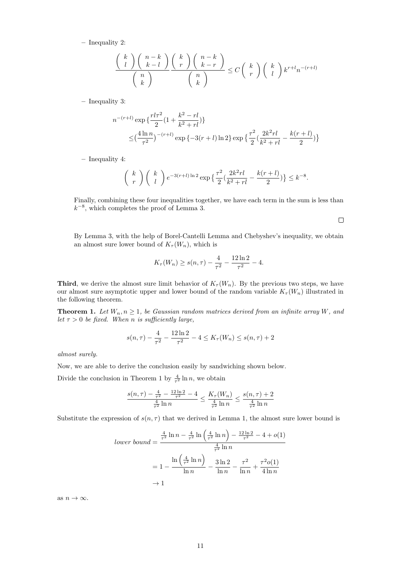– Inequality 2:

$$
\frac{\binom{k}{l}\binom{n-k}{k-l}}{\binom{n}{k}} \frac{\binom{k}{r}\binom{n-k}{k-r}}{\binom{n}{k}} \le C\binom{k}{r}\binom{k}{l}k^{r+l}n^{-(r+l)}
$$

– Inequality 3:

$$
n^{-(r+l)} \exp \left\{ \frac{rl\tau^2}{2} (1 + \frac{k^2 - rl}{k^2 + rl}) \right\}
$$
  
 
$$
\leq \left(\frac{4\ln n}{\tau^2}\right)^{-(r+l)} \exp \left\{-3(r+l)\ln 2\right\} \exp \left\{\frac{\tau^2}{2} \left(\frac{2k^2rl}{k^2 + rl} - \frac{k(r+l)}{2}\right) \right\}
$$

– Inequality 4:

$$
\binom{k}{r} \binom{k}{l} e^{-3(r+l)\ln 2} \exp\left\{\frac{\tau^2}{2} \left(\frac{2k^2rl}{k^2+rl} - \frac{k(r+l)}{2}\right)\right\} \le k^{-8}.
$$

Finally, combining these four inequalities together, we have each term in the sum is less than  $k^{-8}$ , which completes the proof of Lemma 3.

 $\Box$ 

By Lemma 3, with the help of Borel-Cantelli Lemma and Chebyshev's inequality, we obtain an almost sure lower bound of  $K_{\tau}(W_n)$ , which is

$$
K_{\tau}(W_n) \ge s(n,\tau) - \frac{4}{\tau^2} - \frac{12\ln 2}{\tau^2} - 4.
$$

**Third**, we derive the almost sure limit behavior of  $K_\tau(W_n)$ . By the previous two steps, we have our almost sure asymptotic upper and lower bound of the random variable  $K_{\tau}(W_n)$  illustrated in the following theorem.

**Theorem 1.** Let  $W_n, n \geq 1$ , be Gaussian random matrices derived from an infinite array W, and let  $\tau > 0$  be fixed. When n is sufficiently large,

$$
s(n,\tau) - \frac{4}{\tau^2} - \frac{12\ln 2}{\tau^2} - 4 \le K_\tau(W_n) \le s(n,\tau) + 2
$$

almost surely.

Now, we are able to derive the conclusion easily by sandwiching shown below.

Divide the conclusion in Theorem 1 by  $\frac{4}{\tau^2} \ln n$ , we obtain

$$
\frac{s(n,\tau)-\frac{4}{\tau^2}-\frac{12\ln 2}{\tau^2}-4}{\frac{4}{\tau^2}\ln n}\leq \frac{K_\tau(W_n)}{\frac{4}{\tau^2}\ln n}\leq \frac{s(n,\tau)+2}{\frac{4}{\tau^2}\ln n}
$$

Substitute the expression of  $s(n, \tau)$  that we derived in Lemma 1, the almost sure lower bound is

$$
lower\ bound = \frac{\frac{4}{\tau^2} \ln n - \frac{4}{\tau^2} \ln \left(\frac{4}{\tau^2} \ln n\right) - \frac{12 \ln 2}{\tau^2} - 4 + o(1)
$$

$$
= 1 - \frac{\ln \left(\frac{4}{\tau^2} \ln n\right)}{\ln n} - \frac{3 \ln 2}{\ln n} - \frac{\tau^2}{\ln n} + \frac{\tau^2 o(1)}{4 \ln n}
$$

$$
\to 1
$$

as  $n \to \infty$ .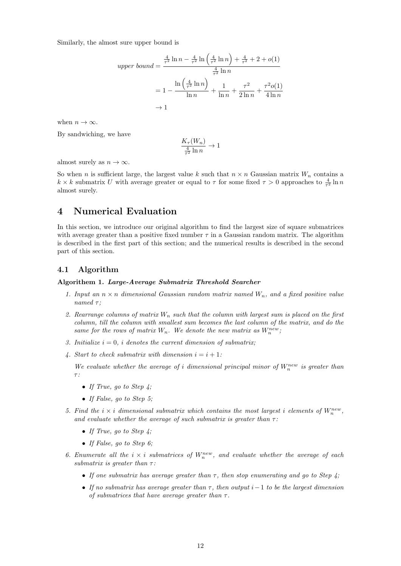Similarly, the almost sure upper bound is

$$
upper\ bound = \frac{\frac{4}{\tau^2} \ln n - \frac{4}{\tau^2} \ln \left(\frac{4}{\tau^2} \ln n\right) + \frac{4}{\tau^2} + 2 + o(1)}{\frac{4}{\tau^2} \ln n}
$$
  
= 1 -  $\frac{\ln \left(\frac{4}{\tau^2} \ln n\right)}{\ln n} + \frac{1}{\ln n} + \frac{\tau^2}{2 \ln n} + \frac{\tau^2 o(1)}{4 \ln n}$   
→ 1

when  $n \to \infty$ .

By sandwiching, we have

$$
\frac{K_{\tau}(W_n)}{\frac{4}{\tau^2}\ln n}\to 1
$$

almost surely as  $n \to \infty$ .

So when n is sufficient large, the largest value k such that  $n \times n$  Gaussian matrix  $W_n$  contains a  $k \times k$  submatrix U with average greater or equal to  $\tau$  for some fixed  $\tau > 0$  approaches to  $\frac{4}{\tau^2} \ln n$ almost surely.

## 4 Numerical Evaluation

In this section, we introduce our original algorithm to find the largest size of square submatrices with average greater than a positive fixed number  $\tau$  in a Gaussian random matrix. The algorithm is described in the first part of this section; and the numerical results is described in the second part of this section.

#### 4.1 Algorithm

#### Algorithem 1. Large-Average Submatrix Threshold Searcher

- 1. Input an  $n \times n$  dimensional Gaussian random matrix named  $W_n$ , and a fixed positive value named  $\tau$ :
- 2. Rearrange columns of matrix  $W_n$  such that the column with largest sum is placed on the first column, till the column with smallest sum becomes the last column of the matrix, and do the same for the rows of matrix  $W_n$ . We denote the new matrix as  $W_n^{new}$ ,
- 3. Initialize  $i = 0$ , i denotes the current dimension of submatrix;
- 4. Start to check submatrix with dimension  $i = i + 1$ :

We evaluate whether the average of i dimensional principal minor of  $W_n^{new}$  is greater than  $\tau$ :

- If True, go to Step  $\lambda$ :
- If False, go to Step 5;
- 5. Find the  $i \times i$  dimensional submatrix which contains the most largest i elements of  $W_n^{new}$ , and evaluate whether the average of such submatrix is greater than  $\tau$ :
	- If True, go to Step  $\lambda$ ;
	- If False, go to Step 6;
- 6. Enumerate all the  $i \times i$  submatrices of  $W_n^{new}$ , and evaluate whether the average of each submatrix is greater than  $\tau$ :
	- If one submatrix has average greater than  $\tau$ , then stop enumerating and go to Step 4:
	- If no submatrix has average greater than  $\tau$ , then output i–1 to be the largest dimension of submatrices that have average greater than  $\tau$ .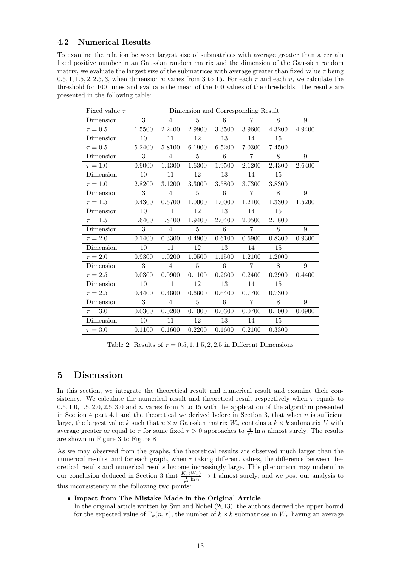## 4.2 Numerical Results

To examine the relation between largest size of submatrices with average greater than a certain fixed positive number in an Gaussian random matrix and the dimension of the Gaussian random matrix, we evaluate the largest size of the submatrices with average greater than fixed value  $\tau$  being 0.5, 1, 1, 5, 2, 2, 5, 3, when dimension n varies from 3 to 15. For each  $\tau$  and each n, we calculate the threshold for 100 times and evaluate the mean of the 100 values of the thresholds. The results are presented in the following table:

| Fixed value $\tau$ | Dimension and Corresponding Result |                |                |        |                |        |                |
|--------------------|------------------------------------|----------------|----------------|--------|----------------|--------|----------------|
| Dimension          | 3                                  | $\overline{4}$ | 5              | 6      | $\overline{7}$ | 8      | 9              |
| $\tau = 0.5$       | 1.5500                             | 2.2400         | 2.9900         | 3.3500 | 3.9600         | 4.3200 | 4.9400         |
| Dimension          | 10                                 | 11             | 12             | 13     | 14             | 15     |                |
| $\tau = 0.5$       | 5.2400                             | 5.8100         | 6.1900         | 6.5200 | 7.0300         | 7.4500 |                |
| Dimension          | 3                                  | 4              | $\overline{5}$ | 6      | $\overline{7}$ | 8      | 9              |
| $\tau = 1.0$       | 0.9000                             | 1.4300         | 1.6300         | 1.9500 | 2.1200         | 2.4300 | 2.6400         |
| Dimension          | 10                                 | 11             | 12             | 13     | 14             | 15     |                |
| $\tau=1.0$         | 2.8200                             | 3.1200         | 3.3000         | 3.5800 | 3.7300         | 3.8300 |                |
| Dimension          | 3                                  | $\overline{4}$ | 5              | 6      | $\overline{7}$ | 8      | 9              |
| $\tau = 1.5$       | 0.4300                             | 0.6700         | 1.0000         | 1.0000 | 1.2100         | 1.3300 | 1.5200         |
| Dimension          | 10                                 | 11             | 12             | 13     | 14             | 15     |                |
| $\tau = 1.5$       | 1.6400                             | 1.8400         | 1.9400         | 2.0400 | 2.0500         | 2.1800 |                |
| Dimension          | 3                                  | $\overline{4}$ | $\overline{5}$ | 6      | $\overline{7}$ | 8      | $9\phantom{.}$ |
| $\tau = 2.0$       | 0.1400                             | 0.3300         | 0.4900         | 0.6100 | 0.6900         | 0.8300 | 0.9300         |
| Dimension          | 10                                 | 11             | 12             | 13     | 14             | 15     |                |
| $\tau=2.0$         | 0.9300                             | 1.0200         | 1.0500         | 1.1500 | 1.2100         | 1.2000 |                |
| Dimension          | 3                                  | $\overline{4}$ | 5              | 6      | $\overline{7}$ | 8      | 9              |
| $\tau = 2.5$       | 0.0300                             | 0.0900         | 0.1100         | 0.2600 | 0.2400         | 0.2900 | 0.4400         |
| Dimension          | 10                                 | 11             | 12             | 13     | 14             | 15     |                |
| $\tau = 2.5$       | 0.4400                             | 0.4600         | 0.6600         | 0.6400 | 0.7700         | 0.7300 |                |
| Dimension          | 3                                  | $\overline{4}$ | $\overline{5}$ | 6      | $\overline{7}$ | 8      | $9\phantom{.}$ |
| $\tau=3.0$         | 0.0300                             | 0.0200         | 0.1000         | 0.0300 | 0.0700         | 0.1000 | 0.0900         |
| Dimension          | 10                                 | 11             | 12             | 13     | 14             | 15     |                |
| $\tau = 3.0$       | 0.1100                             | 0.1600         | 0.2200         | 0.1600 | 0.2100         | 0.3300 |                |

Table 2: Results of  $\tau = 0.5, 1, 1.5, 2, 2.5$  in Different Dimensions

## 5 Discussion

In this section, we integrate the theoretical result and numerical result and examine their consistency. We calculate the numerical result and theoretical result respectively when  $\tau$  equals to  $0.5, 1.0, 1.5, 2.0, 2.5, 3.0$  and n varies from 3 to 15 with the application of the algorithm presented in Section 4 part 4.1 and the theoretical we derived before in Section 3, that when  $n$  is sufficient large, the largest value k such that  $n \times n$  Gaussian matrix  $W_n$  contains a  $k \times k$  submatrix U with average greater or equal to  $\tau$  for some fixed  $\tau > 0$  approaches to  $\frac{4}{\tau^2} \ln n$  almost surely. The results are shown in Figure 3 to Figure 8

As we may observed from the graphs, the theoretical results are observed much larger than the numerical results; and for each graph, when  $\tau$  taking different values, the difference between theoretical results and numerical results become increasingly large. This phenomena may undermine our conclusion deduced in Section 3 that  $\frac{K_{\tau}(W_n)}{\frac{4}{T} \ln n} \to 1$  almost surely; and we post our analysis to this inconsistency in the following two points:

• Impact from The Mistake Made in the Original Article

In the original article written by Sun and Nobel (2013), the authors derived the upper bound for the expected value of  $\Gamma_k(n, \tau)$ , the number of  $k \times k$  submatrices in  $W_n$  having an average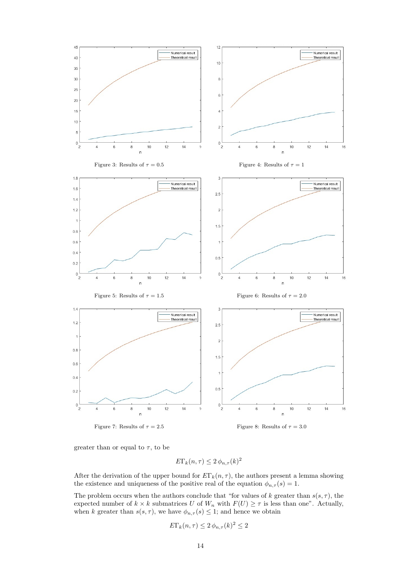

greater than or equal to  $\tau$ , to be

$$
E\Gamma_k(n,\tau) \le 2\,\phi_{n,\tau}(k)^2
$$

After the derivation of the upper bound for  $E\Gamma_k(n, \tau)$ , the authors present a lemma showing the existence and uniqueness of the positive real of the equation  $\phi_{n,\tau}(s) = 1$ .

The problem occurs when the authors conclude that "for values of k greater than  $s(s, \tau)$ , the expected number of  $k \times k$  submatrices U of  $W_n$  with  $F(U) \geq \tau$  is less than one". Actually, when k greater than  $s(s, \tau)$ , we have  $\phi_{n,\tau}(s) \leq 1$ ; and hence we obtain

$$
E\Gamma_k(n,\tau) \le 2\,\phi_{n,\tau}(k)^2 \le 2
$$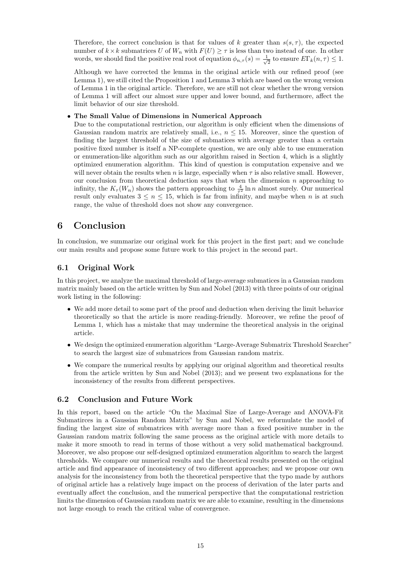Therefore, the correct conclusion is that for values of k greater than  $s(s, \tau)$ , the expected number of  $k \times k$  submatrices U of  $W_n$  with  $F(U) \geq \tau$  is less than two instead of one. In other words, we should find the positive real root of equation  $\phi_{n,\tau}(s) = \frac{1}{\sqrt{s}}$  $\frac{1}{2}$  to ensure  $E\Gamma_k(n,\tau) \leq 1$ .

Although we have corrected the lemma in the original article with our refined proof (see Lemma 1), we still cited the Proposition 1 and Lemma 3 which are based on the wrong version of Lemma 1 in the original article. Therefore, we are still not clear whether the wrong version of Lemma 1 will affect our almost sure upper and lower bound, and furthermore, affect the limit behavior of our size threshold.

### • The Small Value of Dimensions in Numerical Approach

Due to the computational restriction, our algorithm is only efficient when the dimensions of Gaussian random matrix are relatively small, i.e.,  $n \leq 15$ . Moreover, since the question of finding the largest threshold of the size of submatices with average greater than a certain positive fixed number is itself a NP-complete question, we are only able to use enumeration or enumeration-like algorithm such as our algorithm raised in Section 4, which is a slightly optimized enumeration algorithm. This kind of question is computation expensive and we will never obtain the results when n is large, especially when  $\tau$  is also relative small. However, our conclusion from theoretical deduction says that when the dimension  $n$  approaching to infinity, the  $K_{\tau}(W_n)$  shows the pattern approaching to  $\frac{4}{\tau^2} \ln n$  almost surely. Our numerical result only evaluates  $3 \leq n \leq 15$ , which is far from infinity, and maybe when n is at such range, the value of threshold does not show any convergence.

## 6 Conclusion

In conclusion, we summarize our original work for this project in the first part; and we conclude our main results and propose some future work to this project in the second part.

### 6.1 Original Work

In this project, we analyze the maximal threshold of large-average submatices in a Gaussian random matrix mainly based on the article written by Sun and Nobel (2013) with three points of our original work listing in the following:

- We add more detail to some part of the proof and deduction when deriving the limit behavior theoretically so that the article is more reading-friendly. Moreover, we refine the proof of Lemma 1, which has a mistake that may undermine the theoretical analysis in the original article.
- We design the optimized enumeration algorithm "Large-Average Submatrix Threshold Searcher" to search the largest size of submatrices from Gaussian random matrix.
- We compare the numerical results by applying our original algorithm and theoretical results from the article written by Sun and Nobel (2013); and we present two explanations for the inconsistency of the results from different perspectives.

### 6.2 Conclusion and Future Work

In this report, based on the article "On the Maximal Size of Large-Average and ANOVA-Fit Submatirces in a Gaussian Random Matrix" by Sun and Nobel, we reformulate the model of finding the largest size of submatrices with average more than a fixed positive number in the Gaussian random matrix following the same process as the original article with more details to make it more smooth to read in terms of those without a very solid mathematical background. Moreover, we also propose our self-designed optimized enumeration algorithm to search the largest thresholds. We compare our numerical results and the theoretical results presented on the original article and find appearance of inconsistency of two different approaches; and we propose our own analysis for the inconsistency from both the theoretical perspective that the typo made by authors of original article has a relatively huge impact on the process of derivation of the later parts and eventually affect the conclusion, and the numerical perspective that the computational restriction limits the dimension of Gaussian random matrix we are able to examine, resulting in the dimensions not large enough to reach the critical value of convergence.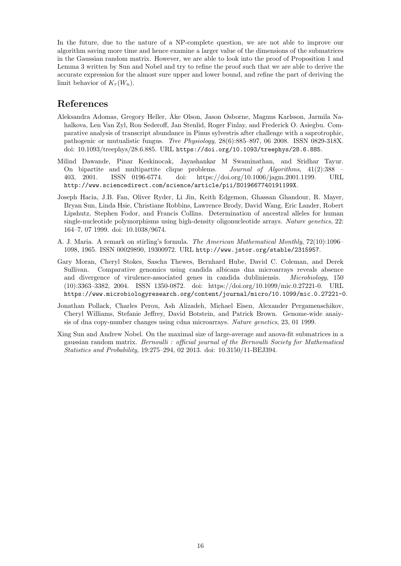In the future, due to the nature of a NP-complete question, we are not able to improve our algorithm saving more time and hence examine a larger value of the dimensions of the submatrices in the Gaussian random matrix. However, we are able to look into the proof of Proposition 1 and Lemma 3 written by Sun and Nobel and try to refine the proof such that we are able to derive the accurate expression for the almost sure upper and lower bound, and refine the part of deriving the limit behavior of  $K_\tau(W_n)$ .

## References

- Aleksandra Adomas, Gregory Heller, Åke Olson, Jason Osborne, Magnus Karlsson, Jarmila Nahalkova, Len Van Zyl, Ron Sederoff, Jan Stenlid, Roger Finlay, and Frederick O. Asiegbu. Comparative analysis of transcript abundance in Pinus sylvestris after challenge with a saprotrophic, pathogenic or mutualistic fungus. Tree Physiology, 28(6):885–897, 06 2008. ISSN 0829-318X. doi: 10.1093/treephys/28.6.885. URL https://doi.org/10.1093/treephys/28.6.885.
- Milind Dawande, Pinar Keskinocak, Jayashankar M Swaminathan, and Sridhar Tayur. On bipartite and multipartite clique problems. Journal of Algorithms, 41(2):388 – 403, 2001. ISSN 0196-6774. doi: https://doi.org/10.1006/jagm.2001.1199. URL http://www.sciencedirect.com/science/article/pii/S019667740191199X.
- Joseph Hacia, J.B. Fan, Oliver Ryder, Li Jin, Keith Edgemon, Ghassan Ghandour, R. Mayer, Bryan Sun, Linda Hsie, Christiane Robbins, Lawrence Brody, David Wang, Eric Lander, Robert Lipshutz, Stephen Fodor, and Francis Collins. Determination of ancestral alleles for human single-nucleotide polymorphisms using high-density oligonucleotide arrays. Nature genetics, 22: 164–7, 07 1999. doi: 10.1038/9674.
- A. J. Maria. A remark on stirling's formula. The American Mathematical Monthly, 72(10):1096– 1098, 1965. ISSN 00029890, 19300972. URL http://www.jstor.org/stable/2315957.
- Gary Moran, Cheryl Stokes, Sascha Thewes, Bernhard Hube, David C. Coleman, and Derek Sullivan. Comparative genomics using candida albicans dna microarrays reveals absence and divergence of virulence-associated genes in candida dubliniensis. Microbiology, 150 (10):3363–3382, 2004. ISSN 1350-0872. doi: https://doi.org/10.1099/mic.0.27221-0. URL https://www.microbiologyresearch.org/content/journal/micro/10.1099/mic.0.27221-0.
- Jonathan Pollack, Charles Perou, Ash Alizadeh, Michael Eisen, Alexander Pergamenschikov, Cheryl Williams, Stefanie Jeffrey, David Botstein, and Patrick Brown. Genome-wide anaiysis of dna copy-number changes using cdna microarrays. Nature genetics, 23, 01 1999.
- Xing Sun and Andrew Nobel. On the maximal size of large-average and anova-fit submatrices in a gaussian random matrix. Bernoulli : official journal of the Bernoulli Society for Mathematical Statistics and Probability, 19:275–294, 02 2013. doi: 10.3150/11-BEJ394.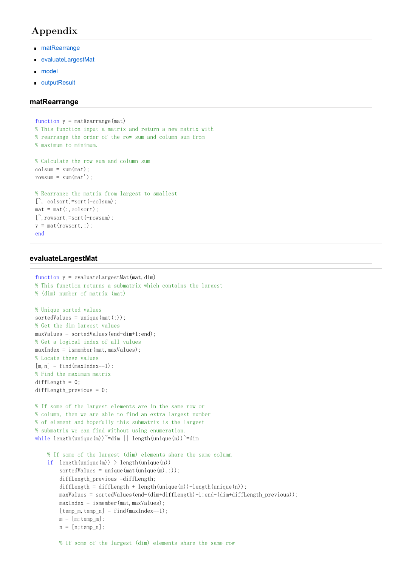# Appendix

- matRearrange
- evaluateLargestMat
- model
- **COUT** outputResult

### **matRearrange**

```
function y = \text{matRearrange}(\text{mat})% This function input a matrix and return a new matrix with
% rearrange the order of the row sum and column sum from
% maximum to minimum.
% Calculate the row sum and column sum
colsum = sum(mat):
rowsum = sum(mat'):
% Rearrange the matrix from largest to smallest
[\tilde{\ }, colsort]=sort(-colsum);
mat = mat(:,colsort);[", rowsort]=sort(-rowsum);
y = \text{mat}(\text{rowsort},:);end
```
### **evaluateLargestMat**

```
function y = \text{evaluateLargestMat}(\text{mat},\text{dim})% This function returns a submatrix which contains the largest
% (dim) number of matrix (mat)
% Unique sorted values
sortedValues = unique(mat(:));% Get the dim largest values
maxValues = sortedValues(end-dim+1:end);% Get a logical index of all values
maxIndex = ismember(maxValues):
% Locate these values
[m, n] = find(maxIndex==1):
% Find the maximum matrix
diffLength = 0;
diffLength_previous = 0; 
% If some of the largest elements are in the same row or
% column, then we are able to find an extra largest number
% of element and hopefully this submatrix is the largest
% submatrix we can find without using enumeration.
while length(unique(m))~=dim || length(unique(n))~=dim
    % If some of the largest (dim) elements share the same column
   if length(unique(m)) > length(unique(n))
        sortedValues = unique(mat(unique(m),:));
        diffLength_previous =diffLength;
        diffLength = diffLength + length(unique(m))-length(unique(n));
        maxValues = sortedValues (end-(dim+diffLength)+1:end-(dim+diffLength)maxIndex = ismember(max, maxValues);[temp_m, temp_n] = find(maxIndex==1);m = [m; temp m];n = [n; temp_n];
```
% If some of the largest (dim) elements share the same row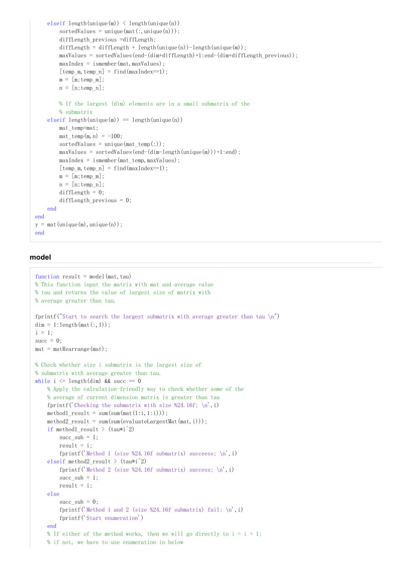```
elseif length (unique(m)) \leq length (unique(n))sortedValues = unique(mat(:,unique(n)));
        diffLength_previous =diffLength;
        diffLength = diffLength + length(unique(n)) - length(unique(m));
        maxValues = sortedValues (end-(dim+diffLength)+1:end-(dim+diffLength previous));maxIndex = ismember(max, maxValues);[temp m, temp n] = find (maxIndex==1):
        m = [m:temp m]:n = [n; temp n];% If the largest (dim) elements are in a small submatrix of the
        % submatrix
    elseif length(unique(m)) == length(unique(n))mat_temp=mat;
        \text{mat}\_\text{temp}(m, n) = -100;sortedValues = unique (\text{mat temp}(:)):
        maxValues = sortedValues (end-(dim-length(unique(m))) + 1:end);maxIndex = ismember(mat temp, maxValues);[temp \; m, temp \; n] = find(maxIndex==1);m = [m; temp_m];n = [n; temp_n];diffLength = 0;
        diffLength previous = 0;
    end
end
y = \text{mat}(\text{unique}(m), \text{unique}(n));
end
```
## model

```
function result = model(mat, tau)% This function input the matrix with mat and average value
% tau and returns the value of largest size of matrix with
% average greater than tau.
fprintf ("Start to search the largest submatrix with average greater than tau \langle n'' \rangledim = 1: length(mat(:, 1));i = 1:
succ = 0;
mat = matRearrange(mat);% Check whether size i submatrix is the largest size of
% submatrix with average greater than tau.
while i \leq length (\dim) & succ == 0
    % Apply the calculation-friendly way to check whether some of the
    % average of current dimension matrix is greater than tau
    fprintf ('Checking the submatrix with size %24.16f; \langle n', i \ranglemethod1 result = sum(sum(mat(1:i,1:i)));
    method2 result = sum(sum(evaluateLargestMat(mat, i)));
    if methodl_result > (tau* i^2)succ\_sub = 1;
        result = i;
        fprintf ('Method 1 (size %24.16f submatrix) succeess; \n\langle n', i \rangleelseif method2 result > (tau* i^2)fprintf('Method 2 (size %24.16f submatrix) success; \langle n', i \ranglesucc sub = 1;
        result = i;else
        succ sub = 0;
        fprintf ('Method 1 and 2 (size %24.16f submatrix) fail; \langle n', i \ranglefprintf ('Start enumeration')
    end
    % If either of the method works, then we will go directly to i = i + 1;
    % if not, we have to use enumeration in below
```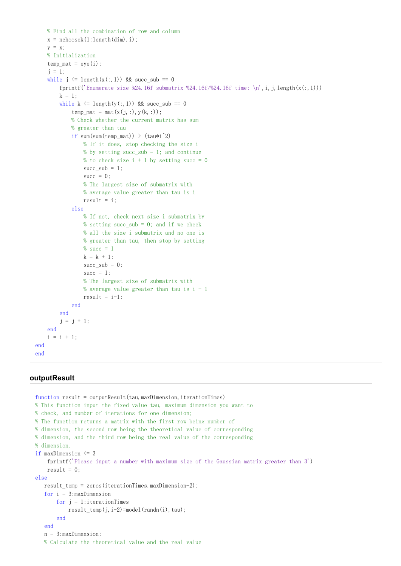```
% Find all the combination of row and column
   x = nchoosek(1:length(dim), i);
   y = x:
   % Initialization
   temp mat = eye(i);
    j = 1:
   while i \leq length(x(:, 1)) & succ sub = 0
        fprintf('Enumerate size %24.16f submatrix %24.16f/%24.16f time; \n', i, j, length(x(:,1)))
        k = 1;
        while k \leq length (y(:, 1)) & succ sub = 0
            temp mat = mat(x(j, :), y(k, :));
            % Check whether the current matrix has sum
            % greater than tau
            if sum(sum(temp mat)) > (ta^*i^2)% If it does, stop checking the size i
                % by setting succ sub = 1; and continue
                % to check size i + 1 by setting succ = 0
                succ sub = 1;
                succ = 0;
                % The largest size of submatrix with
                % average value greater than tau is i
                result = i:
            else
                % If not, check next size i submatrix by
                % setting succ sub = 0; and if we check
                % all the size i submatrix and no one is
                % greater than tau, then stop by setting
                % succ = 1k = k + 1;
                succ\_sub = 0;succ = 1;
                % The largest size of submatrix with
                % average value greater than tau is i - 1result = i-1;end
        end
        j = j + 1;endi = i + 1;
end
end
```
## outputResult

```
function result = outputResult(tau, maxDimension, iterationTimes)% This function input the fixed value tau, maximum dimension you want to
% check, and number of iterations for one dimension;
% The function returns a matrix with the first row being number of
% dimension, the second row being the theoretical value of corresponding
% dimension, and the third row being the real value of the corresponding
% dimension.
if maxDimension \leq 3fprintf ('Please input a number with maximum size of the Gaussian matrix greater than 3')
    result = 0else
   result_temp = zeros(iterationTimes, maxDimension-2);for i = 3: maxDimension
       for j = 1: iterationTimes
           result_temp(j, i-2)=model(randn(i), tau);end
   end
   n = 3: maxDimension:% Calculate the theoretical value and the real value
```